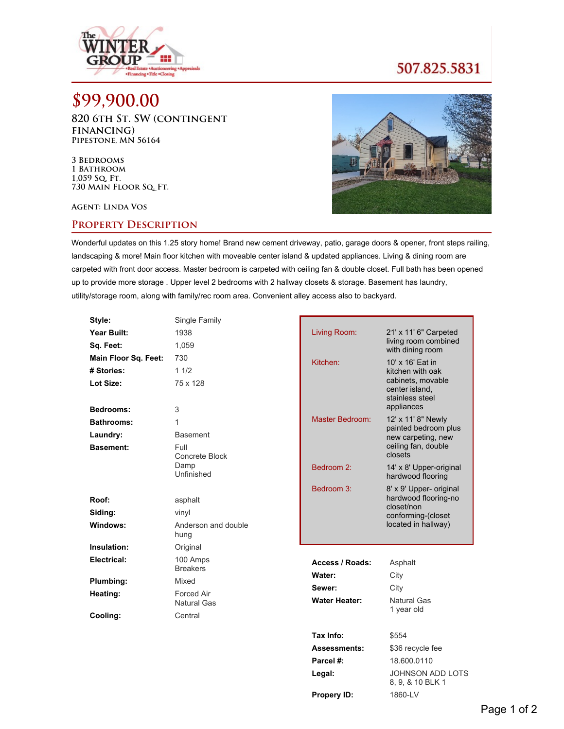

## 507.825.5831

## **\$99,900.00**

**820 6th St. SW (contingent financing) Pipestone, MN 56164**

**3 Bedrooms 1 Bathroom 1,059 Sq. Ft. 730 Main Floor Sq. Ft.**

**Agent: Linda Vos**

## **Property Description**



Wonderful updates on this 1.25 story home! Brand new cement driveway, patio, garage doors & opener, front steps railing, landscaping & more! Main floor kitchen with moveable center island & updated appliances. Living & dining room are carpeted with front door access. Master bedroom is carpeted with ceiling fan & double closet. Full bath has been opened up to provide more storage . Upper level 2 bedrooms with 2 hallway closets & storage. Basement has laundry, utility/storage room, along with family/rec room area. Convenient alley access also to backyard.

| Style:               | Single Family                    |                      |                                                                      |
|----------------------|----------------------------------|----------------------|----------------------------------------------------------------------|
| Year Built:          | 1938                             | Living Room:         | 21' x 11' 6" Carpeted                                                |
| Sq. Feet:            | 1,059                            |                      | living room combined<br>with dining room                             |
| Main Floor Sq. Feet: | 730                              | Kitchen:             | 10' x 16' Eat in                                                     |
| # Stories:           | 11/2                             |                      | kitchen with oak                                                     |
| Lot Size:            | 75 x 128                         |                      | cabinets, movable<br>center island,<br>stainless steel<br>appliances |
| Bedrooms:            | 3                                | Master Bedroom:      |                                                                      |
| <b>Bathrooms:</b>    | 1                                |                      | 12' x 11' 8" Newly<br>painted bedroom plus                           |
| Laundry:             | <b>Basement</b>                  |                      | new carpeting, new                                                   |
| <b>Basement:</b>     | Full<br>Concrete Block           |                      | ceiling fan, double<br>closets                                       |
|                      | Damp                             | Bedroom 2:           | 14' x 8' Upper-original                                              |
|                      | Unfinished                       |                      | hardwood flooring                                                    |
|                      |                                  | Bedroom 3:           | 8' x 9' Upper- original                                              |
| Roof:                | asphalt                          |                      | hardwood flooring-no<br>closet/non                                   |
| Siding:              | vinyl                            |                      | conforming-(closet                                                   |
| Windows:             | Anderson and double<br>hung      |                      | located in hallway)                                                  |
| Insulation:          | Original                         |                      |                                                                      |
| Electrical:          | 100 Amps                         | Access / Roads:      | Asphalt                                                              |
|                      | <b>Breakers</b>                  | Water:               | City                                                                 |
| Plumbing:            | Mixed                            | Sewer:               | City                                                                 |
| Heating:             | <b>Forced Air</b><br>Natural Gas | <b>Water Heater:</b> | <b>Natural Gas</b>                                                   |
| Cooling:             | Central                          |                      | 1 year old                                                           |
|                      |                                  |                      |                                                                      |
|                      |                                  | Tax Info:            | \$554                                                                |
|                      |                                  | <b>Assessments:</b>  | \$36 recycle fee                                                     |
|                      |                                  | Parcel #:            | 18.600.0110                                                          |
|                      |                                  | Legal:               | <b>JOHNSON ADD LOTS</b><br>8, 9, & 10 BLK 1                          |

**Propery ID:** 1860-LV